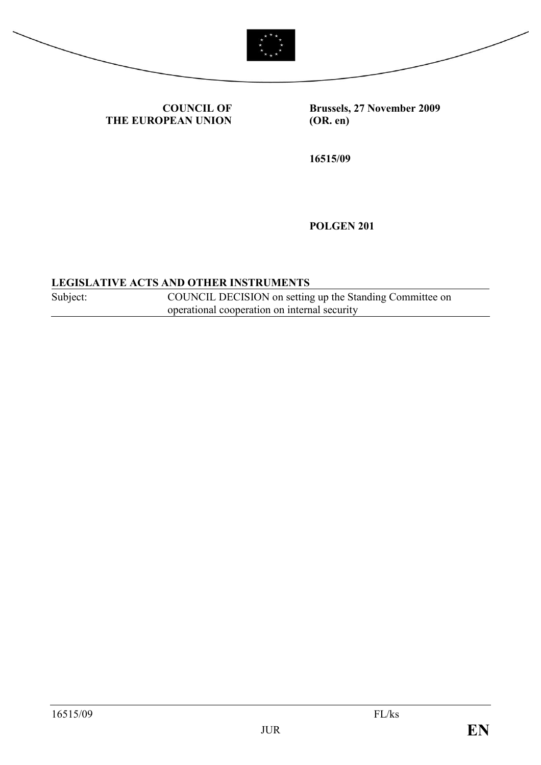



COUNCIL OF THE EUROPEAN UNION Brussels, 27 November 2009 (OR. en)

16515/09

POLGEN 201

#### LEGISLATIVE ACTS AND OTHER INSTRUMENTS

Subject: COUNCIL DECISION on setting up the Standing Committee on operational cooperation on internal security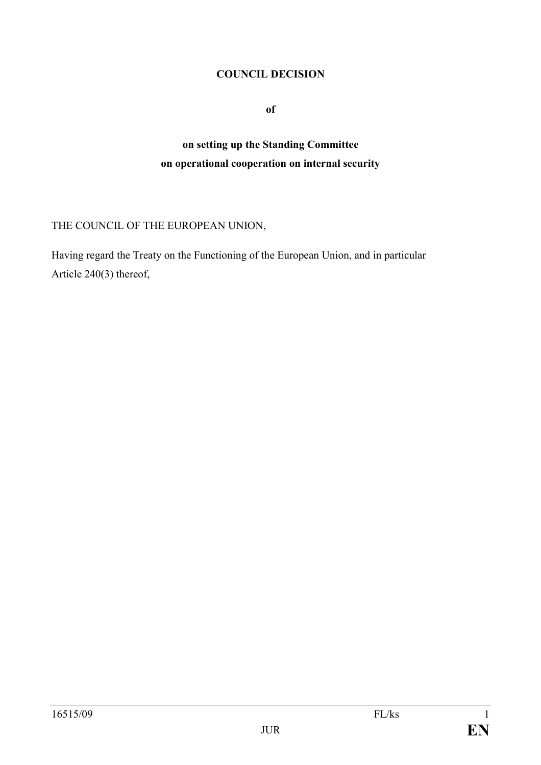### COUNCIL DECISION

of

# on setting up the Standing Committee on operational cooperation on internal security

## THE COUNCIL OF THE EUROPEAN UNION,

Having regard the Treaty on the Functioning of the European Union, and in particular Article 240(3) thereof,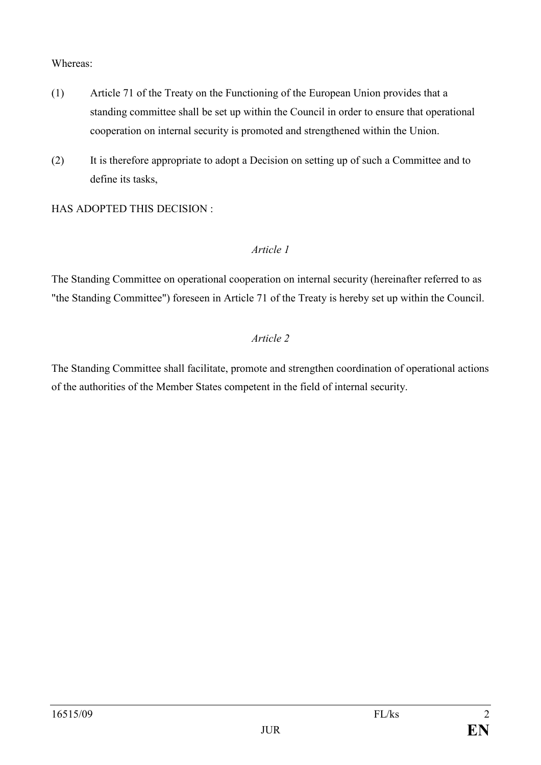#### Whereas:

- (1) Article 71 of the Treaty on the Functioning of the European Union provides that a standing committee shall be set up within the Council in order to ensure that operational cooperation on internal security is promoted and strengthened within the Union.
- (2) It is therefore appropriate to adopt a Decision on setting up of such a Committee and to define its tasks,

HAS ADOPTED THIS DECISION :

# Article 1

The Standing Committee on operational cooperation on internal security (hereinafter referred to as "the Standing Committee") foreseen in Article 71 of the Treaty is hereby set up within the Council.

### Article 2

The Standing Committee shall facilitate, promote and strengthen coordination of operational actions of the authorities of the Member States competent in the field of internal security.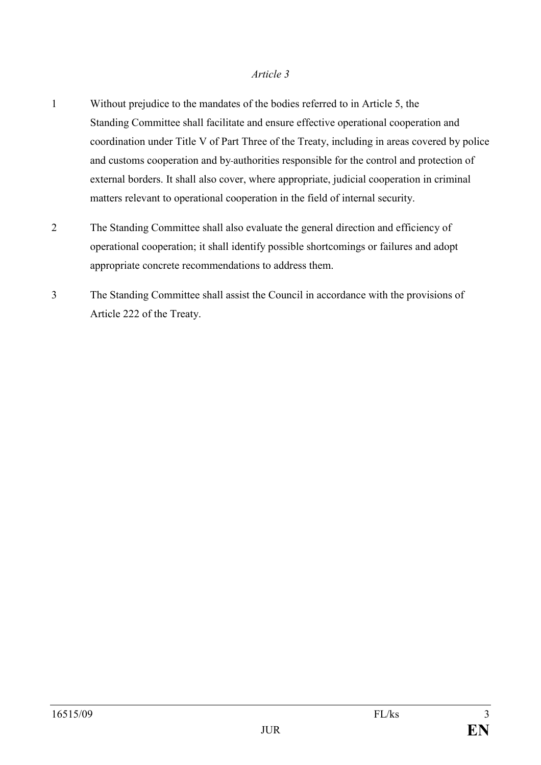#### Article 3

- 1 Without prejudice to the mandates of the bodies referred to in Article 5, the Standing Committee shall facilitate and ensure effective operational cooperation and coordination under Title V of Part Three of the Treaty, including in areas covered by police and customs cooperation and by authorities responsible for the control and protection of external borders. It shall also cover, where appropriate, judicial cooperation in criminal matters relevant to operational cooperation in the field of internal security.
- 2 The Standing Committee shall also evaluate the general direction and efficiency of operational cooperation; it shall identify possible shortcomings or failures and adopt appropriate concrete recommendations to address them.
- 3 The Standing Committee shall assist the Council in accordance with the provisions of Article 222 of the Treaty.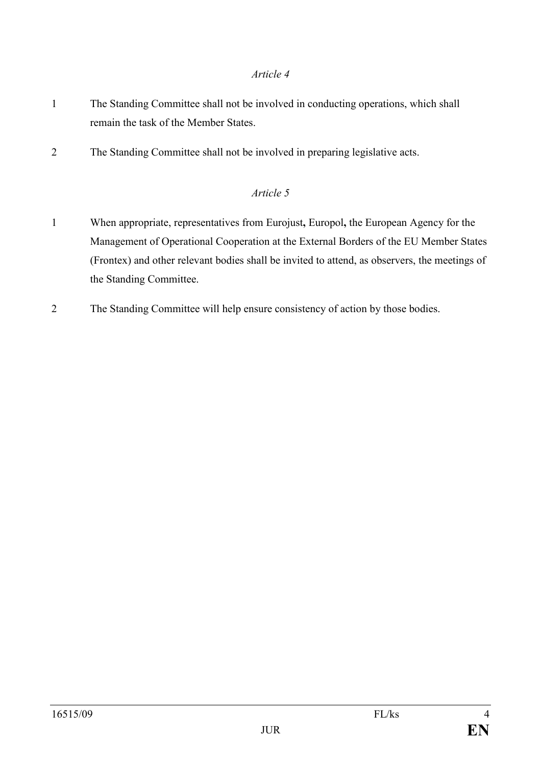### Article 4

- 1 The Standing Committee shall not be involved in conducting operations, which shall remain the task of the Member States.
- 2 The Standing Committee shall not be involved in preparing legislative acts.

# Article 5

- 1 When appropriate, representatives from Eurojust, Europol, the European Agency for the Management of Operational Cooperation at the External Borders of the EU Member States (Frontex) and other relevant bodies shall be invited to attend, as observers, the meetings of the Standing Committee.
- 2 The Standing Committee will help ensure consistency of action by those bodies.